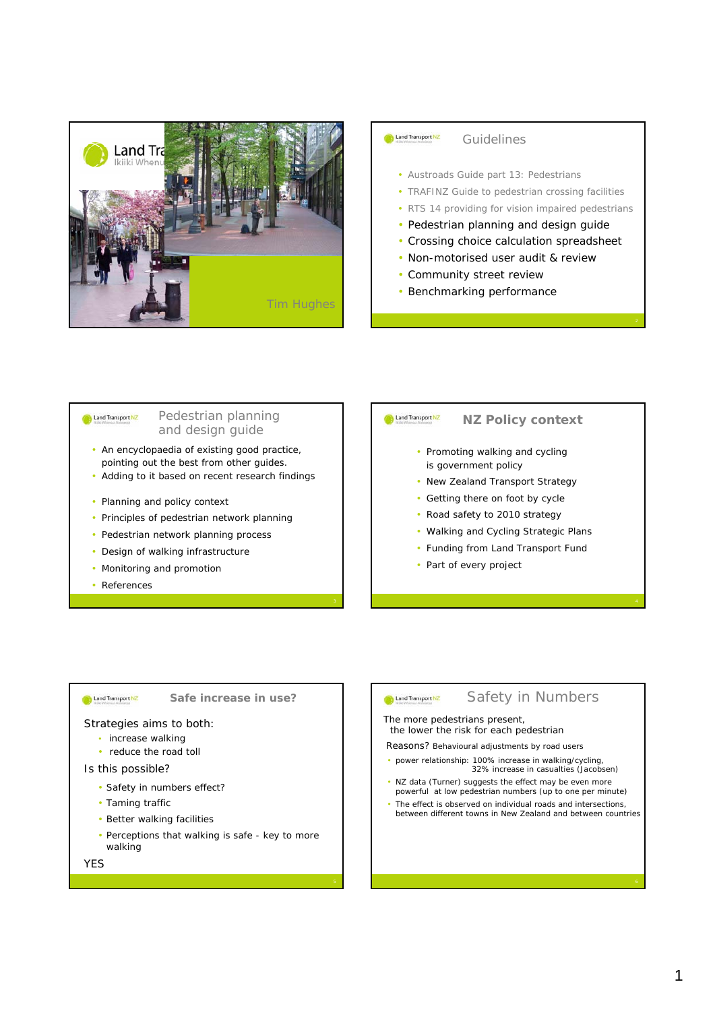



#### *Pedestrian planning*  Land Transport NZ *and design guide*

- An encyclopaedia of existing good practice, pointing out the best from other guides.
- Adding to it based on recent research findings
- Planning and policy context
- Principles of pedestrian network planning
- Pedestrian network planning process
- Design of walking infrastructure
- Monitoring and promotion
- References

## Land Transport NZ

# *NZ Policy context*

- Promoting walking and cycling is government policy
- New Zealand Transport Strategy
- Getting there on foot by cycle
- Road safety to 2010 strategy
- Walking and Cycling Strategic Plans
- Funding from Land Transport Fund
- Part of every project

### **Company** Land Transport NZ

*Safe increase in use?*

#### Strategies aims to both:

- increase walking
- reduce the road toll

### Is this possible?

- Safety in numbers effect?
- Taming traffic
- Better walking facilities
- Perceptions that walking is safe key to more walking

**YFS** 

### **Computer Land Transport NZ**

### *Safety in Numbers*

The more pedestrians present, the lower the risk for each pedestrian

Reasons? Behavioural adjustments by road users

- power relationship: 100% increase in walking/cycling, 32% increase in casualties (Jacobsen)
- NZ data (Turner) suggests the effect may be even more powerful at low pedestrian numbers (up to one per minute)
- The effect is observed on individual roads and intersections, between different towns in New Zealand and between countries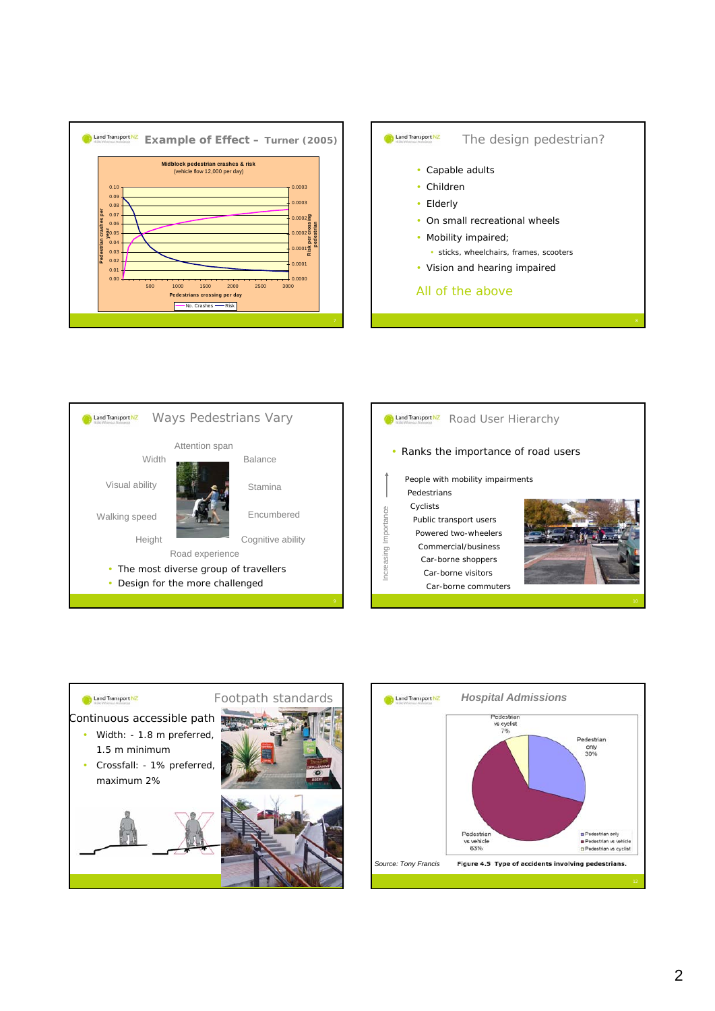







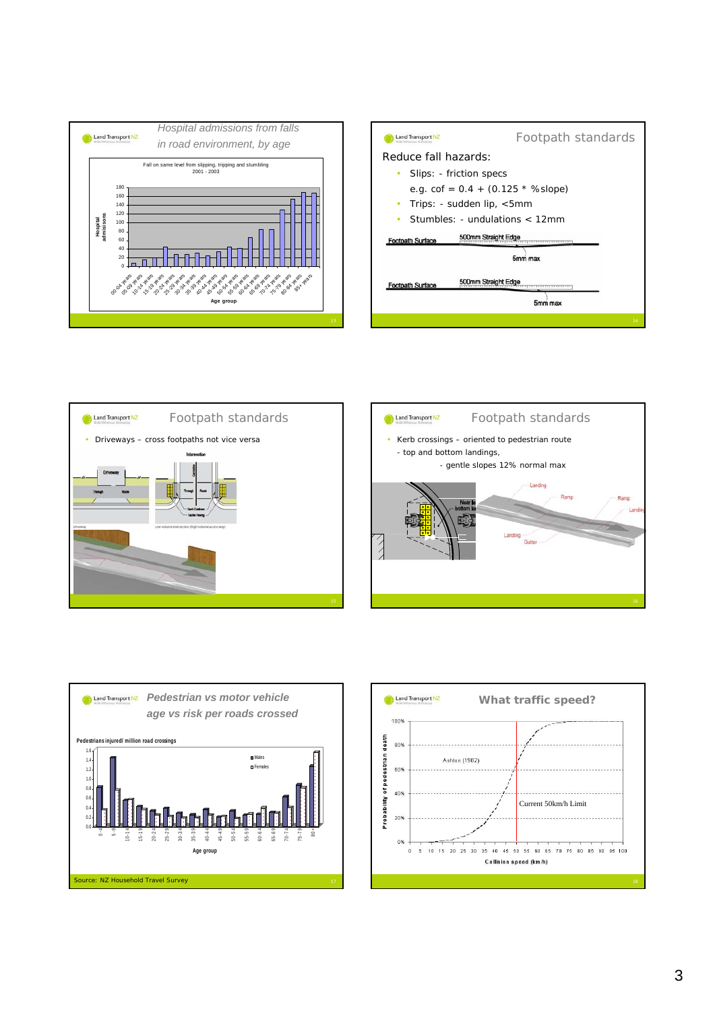









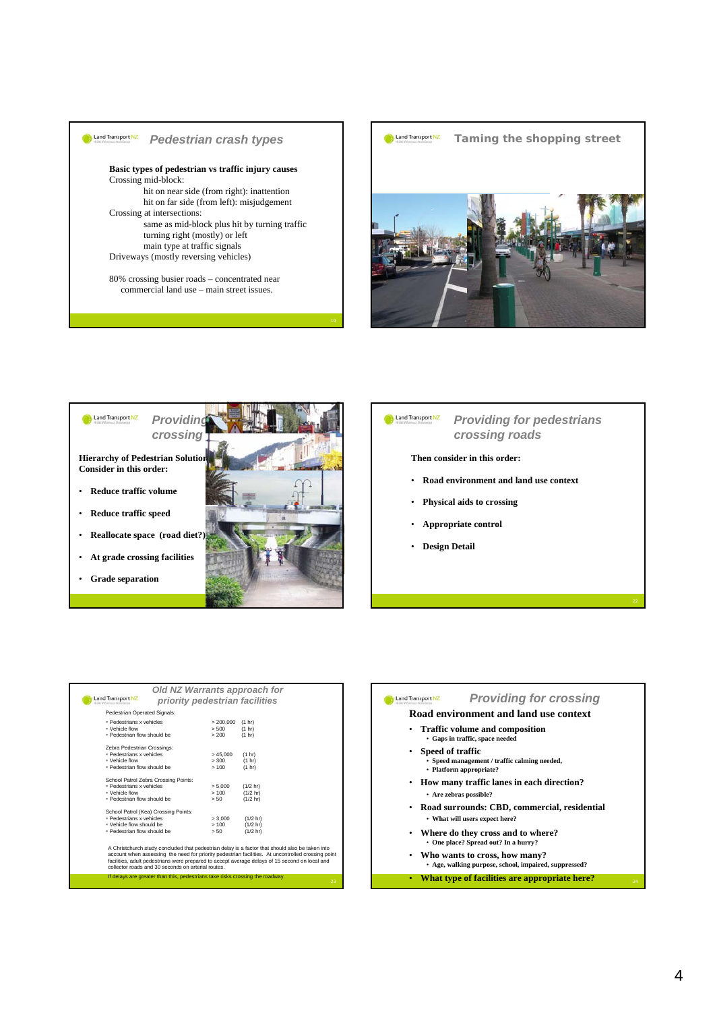





#### Land Transport NZ *Providing for pedestrians crossing roads*

#### **Then consider in this order:**

- **Road environment and land use context**
- **Physical aids to crossing**
- **Appropriate control**
- **Design Detail**

| Land Transport NZ                                                                                             |                                                                               | priority pedestrian facilities | Old NZ Warrants approach for                                                                                                                                                                                                                                                                            |    |
|---------------------------------------------------------------------------------------------------------------|-------------------------------------------------------------------------------|--------------------------------|---------------------------------------------------------------------------------------------------------------------------------------------------------------------------------------------------------------------------------------------------------------------------------------------------------|----|
| Pedestrian Operated Signals:                                                                                  |                                                                               |                                |                                                                                                                                                                                                                                                                                                         |    |
| · Pedestrians x vehicles<br>· Vehicle flow<br>· Pedestrian flow should be                                     |                                                                               | > 200.000<br>> 500<br>> 200    | (1 hr)<br>(1 hr)<br>(1 hr)                                                                                                                                                                                                                                                                              |    |
| Zebra Pedestrian Crossings:<br><b>Pedestrians x vehicles</b><br>· Vehicle flow<br>· Pedestrian flow should be |                                                                               | >45.000<br>> 300<br>>100       | (1 hr)<br>(1 hr)<br>(1 hr)                                                                                                                                                                                                                                                                              |    |
| <b>Pedestrians x vehicles</b><br>· Vehicle flow<br>. Pedestrian flow should be                                | School Patrol Zebra Crossing Points:                                          | > 5.000<br>>100<br>> 50        | $(1/2$ hr)<br>$(1/2$ hr)<br>$(1/2$ hr)                                                                                                                                                                                                                                                                  |    |
| <b>Pedestrians x vehicles</b><br>. Vehicle flow should be<br>· Pedestrian flow should be                      | School Patrol (Kea) Crossing Points:                                          | > 3.000<br>>100<br>> 50        | $(1/2$ hr)<br>$(1/2$ hr)<br>$(1/2$ hr)                                                                                                                                                                                                                                                                  |    |
|                                                                                                               | collector roads and 30 seconds on arterial routes.                            |                                | A Christchurch study concluded that pedestrian delay is a factor that should also be taken into<br>account when assessing the need for priority pedestrian facilities. At uncontrolled crossing point<br>facilities, adult pedestrians were prepared to accept average delays of 15 second on local and |    |
|                                                                                                               | If delays are greater than this, pedestrians take risks crossing the roadway. |                                |                                                                                                                                                                                                                                                                                                         | 23 |

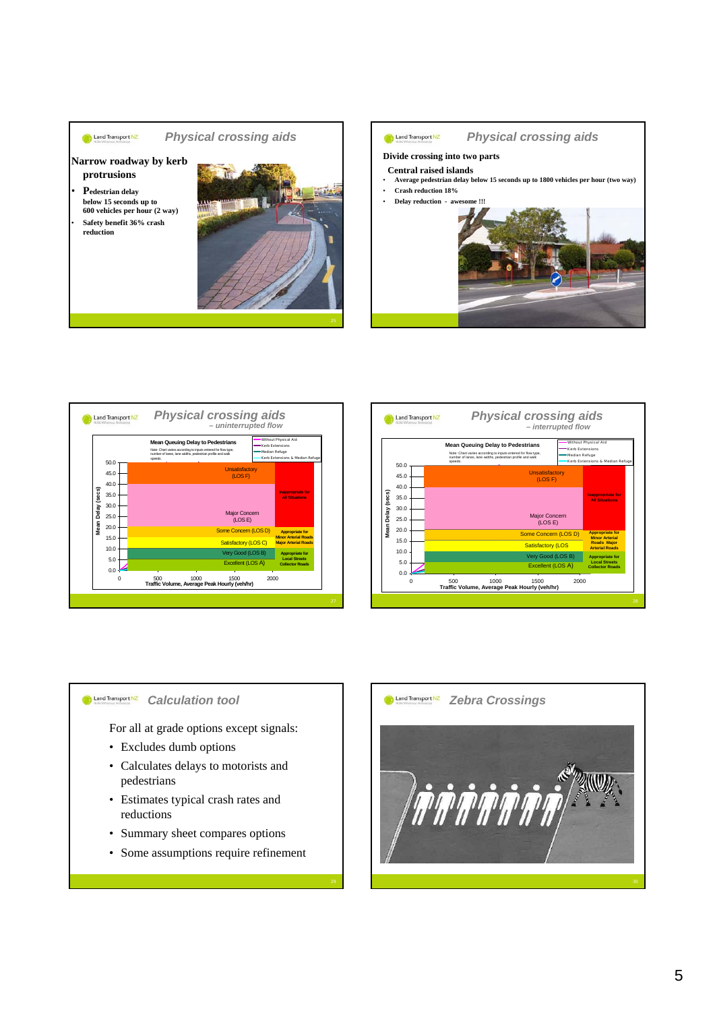







#### **Co** Land Transport NZ *Calculation tool*

For all at grade options except signals:

- Excludes dumb options
- Calculates delays to motorists and pedestrians
- Estimates typical crash rates and reductions
- Summary sheet compares options
- Some assumptions require refinement

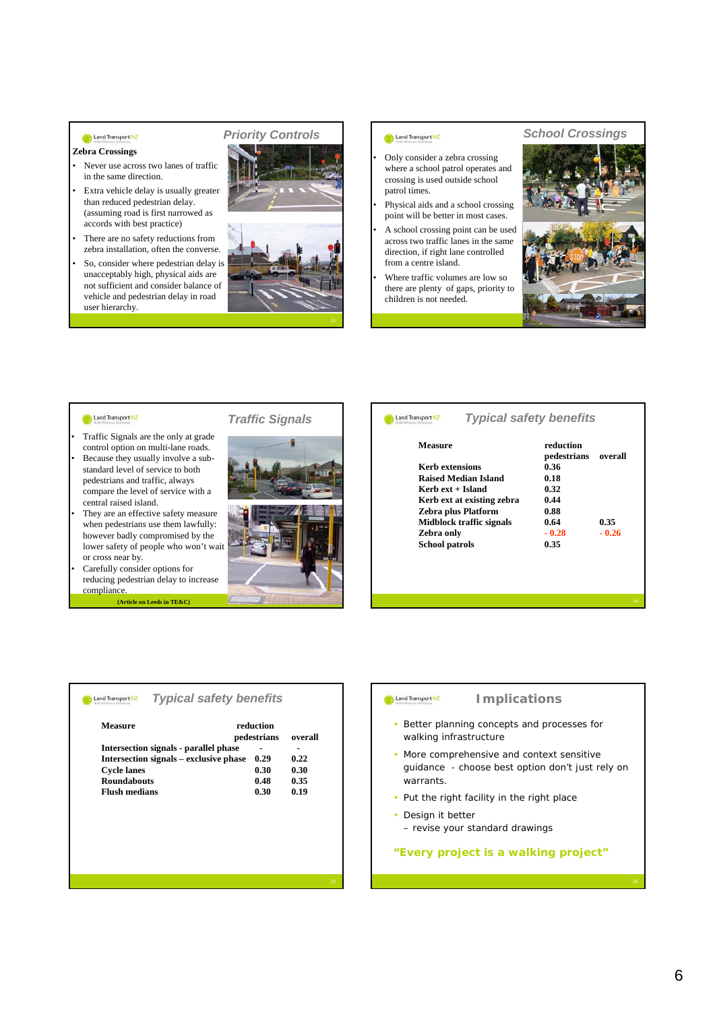### Land Transport NZ

#### **Zebra Crossings**

- Never use across two lanes of traffic in the same direction.
- Extra vehicle delay is usually greater than reduced pedestrian delay. (assuming road is first narrowed as accords with best practice)
- There are no safety reductions from zebra installation, often the converse.
- So, consider where pedestrian delay is unacceptably high, physical aids are not sufficient and consider balance of vehicle and pedestrian delay in road user hierarchy.

## *Priority Controls*



#### Land Transport NZ

- Only consider a zebra crossing where a school patrol operates and crossing is used outside school patrol times.
- Physical aids and a school crossing point will be better in most cases.
- A school crossing point can be used across two traffic lanes in the same direction, if right lane controlled from a centre island.
- Where traffic volumes are low so there are plenty of gaps, priority to children is not needed.

### *School Crossings*



#### Land Transport NZ

- Traffic Signals are the only at grade control option on multi-lane roads. Because they usually involve a substandard level of service to both pedestrians and traffic, always compare the level of service with a
- central raised island. They are an effective safety measure when pedestrians use them lawfully: however badly compromised by the lower safety of people who won't wait or cross near by.

• Carefully consider options for

reducing pedestrian delay to increase compliance.

**(Article on Leeds in TE&C)** <sup>34</sup>

## *Traffic Signals*



### Land Transport NZ

#### **Measure reduction pedestrians overall Kerb extensions** 0.36<br> **Raised Median Island** 0.18 **Raised Median Island Kerb ext + Island** 0.32<br>**Kerb ext at existing zebra** 0.44 **Kerb ext at existing zebra**

*Typical safety benefits* 

**Zebra plus Platform** 0.88<br>Midblock traffic signals 0.64 **Midblock traffic signals** 0.64 0.35<br> **Zebra only** - 0.28 - 0.2 **Zebra only - 0.28 - 0.26 School patrols 0.35**

#### **Land Transport NZ** *Typical safety benefits*

| Measure                                | reduction<br>pedestrians |      |
|----------------------------------------|--------------------------|------|
| Intersection signals - parallel phase  | ۰                        |      |
| Intersection signals – exclusive phase | 0.29                     | 0.22 |
| <b>Cycle lanes</b>                     | 0.30                     | 0.30 |
| <b>Roundabouts</b>                     | 0.48                     | 0.35 |
| <b>Flush medians</b>                   | 0.30                     | 0.19 |

#### Land Transport NZ

### *Implications*

- Better planning concepts and processes for walking infrastructure
- More comprehensive and context sensitive guidance - choose best option don't just rely on warrants.
- Put the right facility in the right place
- Design it better
- revise your standard drawings

### **"Every project is a walking project"**